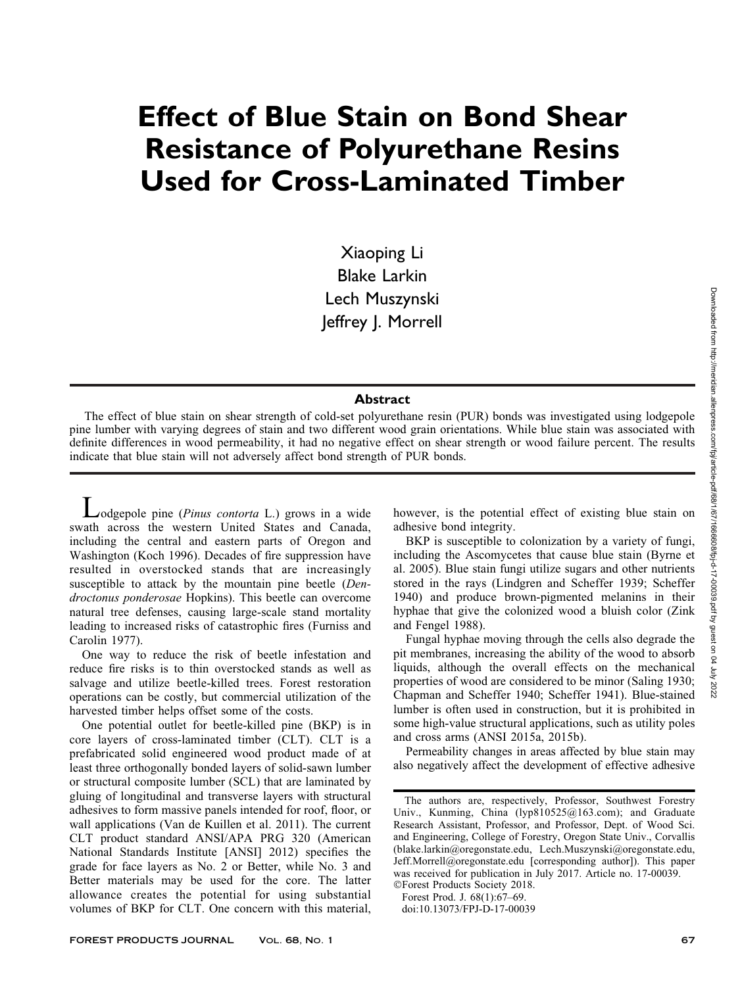# Effect of Blue Stain on Bond Shear Resistance of Polyurethane Resins Used for Cross-Laminated Timber

Xiaoping Li Blake Larkin Lech Muszynski Jeffrey J. Morrell

### **Abstract**

The effect of blue stain on shear strength of cold-set polyurethane resin (PUR) bonds was investigated using lodgepole pine lumber with varying degrees of stain and two different wood grain orientations. While blue stain was associated with definite differences in wood permeability, it had no negative effect on shear strength or wood failure percent. The results indicate that blue stain will not adversely affect bond strength of PUR bonds.

 $\triangle$ odgepole pine (*Pinus contorta* L.) grows in a wide swath across the western United States and Canada, including the central and eastern parts of Oregon and Washington (Koch 1996). Decades of fire suppression have resulted in overstocked stands that are increasingly susceptible to attack by the mountain pine beetle (Dendroctonus ponderosae Hopkins). This beetle can overcome natural tree defenses, causing large-scale stand mortality leading to increased risks of catastrophic fires (Furniss and Carolin 1977).

One way to reduce the risk of beetle infestation and reduce fire risks is to thin overstocked stands as well as salvage and utilize beetle-killed trees. Forest restoration operations can be costly, but commercial utilization of the harvested timber helps offset some of the costs.

One potential outlet for beetle-killed pine (BKP) is in core layers of cross-laminated timber (CLT). CLT is a prefabricated solid engineered wood product made of at least three orthogonally bonded layers of solid-sawn lumber or structural composite lumber (SCL) that are laminated by gluing of longitudinal and transverse layers with structural adhesives to form massive panels intended for roof, floor, or wall applications (Van de Kuillen et al. 2011). The current CLT product standard ANSI/APA PRG 320 (American National Standards Institute [ANSI] 2012) specifies the grade for face layers as No. 2 or Better, while No. 3 and Better materials may be used for the core. The latter allowance creates the potential for using substantial volumes of BKP for CLT. One concern with this material, however, is the potential effect of existing blue stain on adhesive bond integrity.

BKP is susceptible to colonization by a variety of fungi, including the Ascomycetes that cause blue stain (Byrne et al. 2005). Blue stain fungi utilize sugars and other nutrients stored in the rays (Lindgren and Scheffer 1939; Scheffer 1940) and produce brown-pigmented melanins in their hyphae that give the colonized wood a bluish color (Zink and Fengel 1988).

Fungal hyphae moving through the cells also degrade the pit membranes, increasing the ability of the wood to absorb liquids, although the overall effects on the mechanical properties of wood are considered to be minor (Saling 1930; Chapman and Scheffer 1940; Scheffer 1941). Blue-stained lumber is often used in construction, but it is prohibited in some high-value structural applications, such as utility poles and cross arms (ANSI 2015a, 2015b).

Permeability changes in areas affected by blue stain may also negatively affect the development of effective adhesive

-Forest Products Society 2018. Forest Prod. J. 68(1):67–69.

doi:10.13073/FPJ-D-17-00039

The authors are, respectively, Professor, Southwest Forestry Univ., Kunming, China (lyp810525@163.com); and Graduate Research Assistant, Professor, and Professor, Dept. of Wood Sci. and Engineering, College of Forestry, Oregon State Univ., Corvallis (blake.larkin@oregonstate.edu, Lech.Muszynski@oregonstate.edu, Jeff.Morrell@oregonstate.edu [corresponding author]). This paper was received for publication in July 2017. Article no. 17-00039.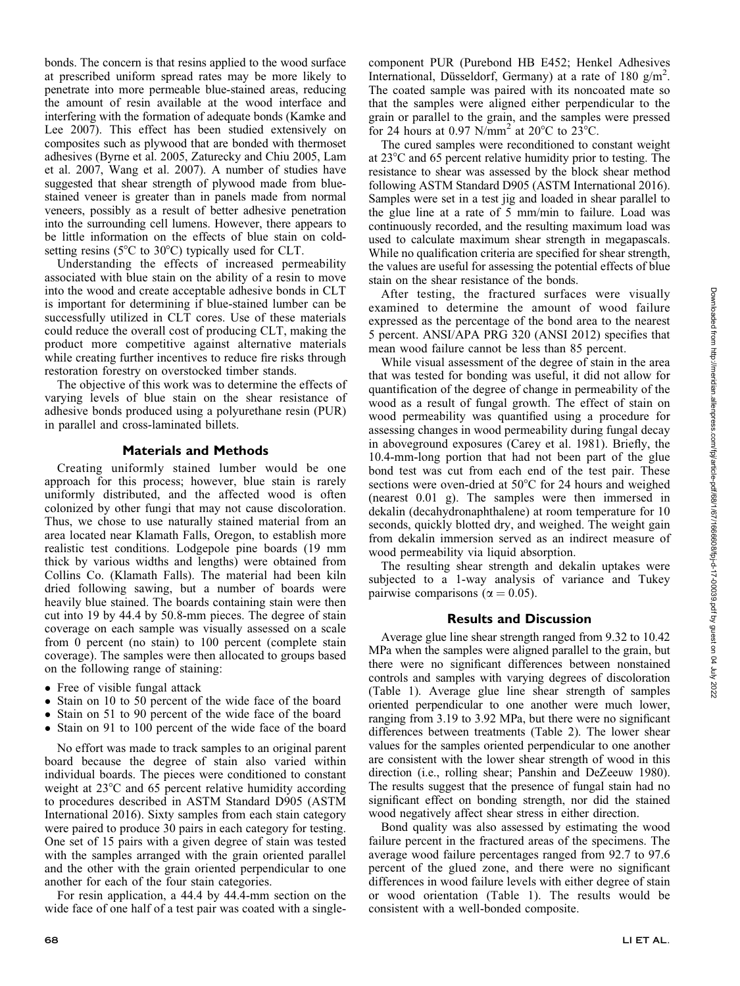bonds. The concern is that resins applied to the wood surface at prescribed uniform spread rates may be more likely to penetrate into more permeable blue-stained areas, reducing the amount of resin available at the wood interface and interfering with the formation of adequate bonds (Kamke and Lee 2007). This effect has been studied extensively on composites such as plywood that are bonded with thermoset adhesives (Byrne et al. 2005, Zaturecky and Chiu 2005, Lam et al. 2007, Wang et al. 2007). A number of studies have suggested that shear strength of plywood made from bluestained veneer is greater than in panels made from normal veneers, possibly as a result of better adhesive penetration into the surrounding cell lumens. However, there appears to be little information on the effects of blue stain on coldsetting resins ( $5^{\circ}$ C to  $30^{\circ}$ C) typically used for CLT.

Understanding the effects of increased permeability associated with blue stain on the ability of a resin to move into the wood and create acceptable adhesive bonds in CLT is important for determining if blue-stained lumber can be successfully utilized in CLT cores. Use of these materials could reduce the overall cost of producing CLT, making the product more competitive against alternative materials while creating further incentives to reduce fire risks through restoration forestry on overstocked timber stands.

The objective of this work was to determine the effects of varying levels of blue stain on the shear resistance of adhesive bonds produced using a polyurethane resin (PUR) in parallel and cross-laminated billets.

## Materials and Methods

Creating uniformly stained lumber would be one approach for this process; however, blue stain is rarely uniformly distributed, and the affected wood is often colonized by other fungi that may not cause discoloration. Thus, we chose to use naturally stained material from an area located near Klamath Falls, Oregon, to establish more realistic test conditions. Lodgepole pine boards (19 mm thick by various widths and lengths) were obtained from Collins Co. (Klamath Falls). The material had been kiln dried following sawing, but a number of boards were heavily blue stained. The boards containing stain were then cut into 19 by 44.4 by 50.8-mm pieces. The degree of stain coverage on each sample was visually assessed on a scale from 0 percent (no stain) to 100 percent (complete stain coverage). The samples were then allocated to groups based on the following range of staining:

- Free of visible fungal attack
- Stain on 10 to 50 percent of the wide face of the board
- Stain on 51 to 90 percent of the wide face of the board
- Stain on 91 to 100 percent of the wide face of the board

No effort was made to track samples to an original parent board because the degree of stain also varied within individual boards. The pieces were conditioned to constant weight at  $23^{\circ}$ C and 65 percent relative humidity according to procedures described in ASTM Standard D905 (ASTM International 2016). Sixty samples from each stain category were paired to produce 30 pairs in each category for testing. One set of 15 pairs with a given degree of stain was tested with the samples arranged with the grain oriented parallel and the other with the grain oriented perpendicular to one another for each of the four stain categories.

For resin application, a 44.4 by 44.4-mm section on the wide face of one half of a test pair was coated with a singlecomponent PUR (Purebond HB E452; Henkel Adhesives International, Düsseldorf, Germany) at a rate of 180  $g/m^2$ . The coated sample was paired with its noncoated mate so that the samples were aligned either perpendicular to the grain or parallel to the grain, and the samples were pressed for 24 hours at 0.97 N/mm<sup>2</sup> at 20 $^{\circ}$ C to 23 $^{\circ}$ C.

The cured samples were reconditioned to constant weight at  $23^{\circ}$ C and 65 percent relative humidity prior to testing. The resistance to shear was assessed by the block shear method following ASTM Standard D905 (ASTM International 2016). Samples were set in a test jig and loaded in shear parallel to the glue line at a rate of 5 mm/min to failure. Load was continuously recorded, and the resulting maximum load was used to calculate maximum shear strength in megapascals. While no qualification criteria are specified for shear strength, the values are useful for assessing the potential effects of blue stain on the shear resistance of the bonds.

After testing, the fractured surfaces were visually examined to determine the amount of wood failure expressed as the percentage of the bond area to the nearest 5 percent. ANSI/APA PRG 320 (ANSI 2012) specifies that mean wood failure cannot be less than 85 percent.

While visual assessment of the degree of stain in the area that was tested for bonding was useful, it did not allow for quantification of the degree of change in permeability of the wood as a result of fungal growth. The effect of stain on wood permeability was quantified using a procedure for assessing changes in wood permeability during fungal decay in aboveground exposures (Carey et al. 1981). Briefly, the 10.4-mm-long portion that had not been part of the glue bond test was cut from each end of the test pair. These sections were oven-dried at  $50^{\circ}$ C for 24 hours and weighed (nearest 0.01 g). The samples were then immersed in dekalin (decahydronaphthalene) at room temperature for 10 seconds, quickly blotted dry, and weighed. The weight gain from dekalin immersion served as an indirect measure of wood permeability via liquid absorption.

The resulting shear strength and dekalin uptakes were subjected to a 1-way analysis of variance and Tukey pairwise comparisons ( $\alpha = 0.05$ ).

#### Results and Discussion

Average glue line shear strength ranged from 9.32 to 10.42 MPa when the samples were aligned parallel to the grain, but there were no significant differences between nonstained controls and samples with varying degrees of discoloration (Table 1). Average glue line shear strength of samples oriented perpendicular to one another were much lower, ranging from 3.19 to 3.92 MPa, but there were no significant differences between treatments (Table 2). The lower shear values for the samples oriented perpendicular to one another are consistent with the lower shear strength of wood in this direction (i.e., rolling shear; Panshin and DeZeeuw 1980). The results suggest that the presence of fungal stain had no significant effect on bonding strength, nor did the stained wood negatively affect shear stress in either direction.

Bond quality was also assessed by estimating the wood failure percent in the fractured areas of the specimens. The average wood failure percentages ranged from 92.7 to 97.6 percent of the glued zone, and there were no significant differences in wood failure levels with either degree of stain or wood orientation (Table 1). The results would be consistent with a well-bonded composite.